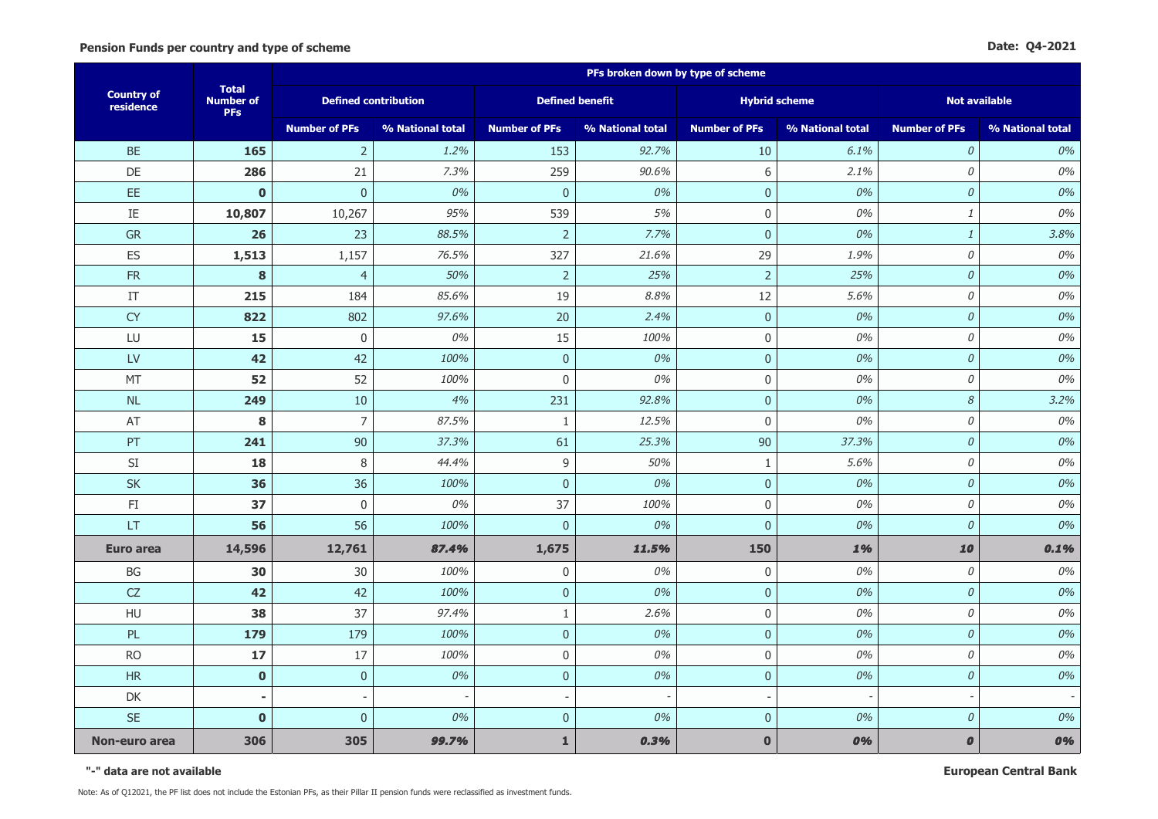|                                | <b>Total</b><br><b>Number of</b><br><b>PFs</b> | PFs broken down by type of scheme |                  |                          |                  |                          |                  |                            |                  |  |
|--------------------------------|------------------------------------------------|-----------------------------------|------------------|--------------------------|------------------|--------------------------|------------------|----------------------------|------------------|--|
| <b>Country of</b><br>residence |                                                | <b>Defined contribution</b>       |                  | <b>Defined benefit</b>   |                  | <b>Hybrid scheme</b>     |                  | <b>Not available</b>       |                  |  |
|                                |                                                | <b>Number of PFs</b>              | % National total | <b>Number of PFs</b>     | % National total | <b>Number of PFs</b>     | % National total | <b>Number of PFs</b>       | % National total |  |
| <b>BE</b>                      | 165                                            | $\overline{2}$                    | 1.2%             | 153                      | 92.7%            | 10                       | 6.1%             | $\mathcal O$               | 0%               |  |
| DE                             | 286                                            | 21                                | 7.3%             | 259                      | 90.6%            | $6\,$                    | 2.1%             | 0                          | 0%               |  |
| EE                             | $\mathbf 0$                                    | $\pmb{0}$                         | 0%               | $\mathbf 0$              | 0%               | $\pmb{0}$                | 0%               | $\mathcal O$               | 0%               |  |
| $\rm IE$                       | 10,807                                         | 10,267                            | 95%              | 539                      | 5%               | $\mathbf 0$              | 0%               | $\it 1$                    | 0%               |  |
| <b>GR</b>                      | 26                                             | 23                                | 88.5%            | $\overline{2}$           | 7.7%             | $\mathbf{0}$             | 0%               | $\mathbf{1}$               | 3.8%             |  |
| ES                             | 1,513                                          | 1,157                             | 76.5%            | 327                      | 21.6%            | 29                       | 1.9%             | $\mathcal O$               | 0%               |  |
| <b>FR</b>                      | 8                                              | $\overline{4}$                    | 50%              | $\overline{2}$           | 25%              | $\overline{2}$           | 25%              | ${\cal O}$                 | 0%               |  |
| IT                             | 215                                            | 184                               | 85.6%            | 19                       | 8.8%             | 12                       | 5.6%             | $\mathcal O$               | 0%               |  |
| <b>CY</b>                      | 822                                            | 802                               | 97.6%            | 20                       | 2.4%             | $\mathbf 0$              | 0%               | $\mathcal O$               | 0%               |  |
| LU                             | 15                                             | $\boldsymbol{0}$                  | 0%               | 15                       | 100%             | $\mathbf 0$              | 0%               | 0                          | 0%               |  |
| <b>LV</b>                      | 42                                             | 42                                | 100%             | $\overline{0}$           | 0%               | $\mathbf 0$              | 0%               | ${\cal O}$                 | 0%               |  |
| MT                             | 52                                             | 52                                | 100%             | $\boldsymbol{0}$         | 0%               | $\pmb{0}$                | 0%               | 0                          | 0%               |  |
| NL                             | 249                                            | 10                                | 4%               | 231                      | 92.8%            | $\mathbf{0}$             | 0%               | $\boldsymbol{\mathcal{S}}$ | 3.2%             |  |
| AT                             | 8                                              | $\overline{7}$                    | 87.5%            | $\mathbf{1}$             | 12.5%            | $\mathbf 0$              | 0%               | $\mathcal O$               | 0%               |  |
| PT                             | 241                                            | 90                                | 37.3%            | 61                       | 25.3%            | 90                       | 37.3%            | $\mathcal O$               | 0%               |  |
| $\mathsf{SI}$                  | 18                                             | $\, 8$                            | 44.4%            | $\mathsf g$              | 50%              | $\mathbf{1}$             | 5.6%             | $\mathcal O$               | 0%               |  |
| <b>SK</b>                      | 36                                             | 36                                | 100%             | $\pmb{0}$                | 0%               | $\pmb{0}$                | 0%               | $\mathcal O$               | 0%               |  |
| $\mathsf{FI}$                  | 37                                             | $\boldsymbol{0}$                  | 0%               | 37                       | 100%             | $\mathbf 0$              | 0%               | $\mathcal O$               | 0%               |  |
| LT                             | 56                                             | 56                                | 100%             | $\mathbf 0$              | 0%               | $\pmb{0}$                | 0%               | $\mathcal O$               | 0%               |  |
| <b>Euro area</b>               | 14,596                                         | 12,761                            | 87.4%            | 1,675                    | 11.5%            | 150                      | 1%               | 10                         | 0.1%             |  |
| BG                             | 30                                             | 30                                | 100%             | $\mathbf 0$              | 0%               | $\mathbf 0$              | 0%               | 0                          | 0%               |  |
| CZ                             | 42                                             | 42                                | 100%             | $\pmb{0}$                | 0%               | $\pmb{0}$                | 0%               | $\mathcal O$               | 0%               |  |
| HU                             | 38                                             | 37                                | 97.4%            | $\mathbf{1}$             | 2.6%             | $\mathbf 0$              | 0%               | 0                          | 0%               |  |
| PL                             | 179                                            | 179                               | 100%             | $\pmb{0}$                | 0%               | $\mathbf 0$              | 0%               | ${\cal O}$                 | 0%               |  |
| <b>RO</b>                      | 17                                             | 17                                | 100%             | $\mathbf 0$              | 0%               | $\mathbf 0$              | 0%               | $\mathcal O$               | 0%               |  |
| <b>HR</b>                      | $\bf{0}$                                       | $\mathbf 0$                       | 0%               | $\pmb{0}$                | 0%               | $\mathbf 0$              | 0%               | $\mathcal O$               | 0%               |  |
| DK                             |                                                |                                   |                  | $\overline{\phantom{a}}$ |                  | $\overline{\phantom{a}}$ |                  |                            |                  |  |
| <b>SE</b>                      | $\mathbf 0$                                    | $\overline{0}$                    | 0%               | $\overline{0}$           | 0%               | $\mathbf 0$              | 0%               | $\mathcal O$               | 0%               |  |
| Non-euro area                  | 306                                            | 305                               | 99.7%            | $\mathbf{1}$             | 0.3%             | $\mathbf 0$              | 0%               | $\pmb{o}$                  | 0%               |  |

**"-" data are not available**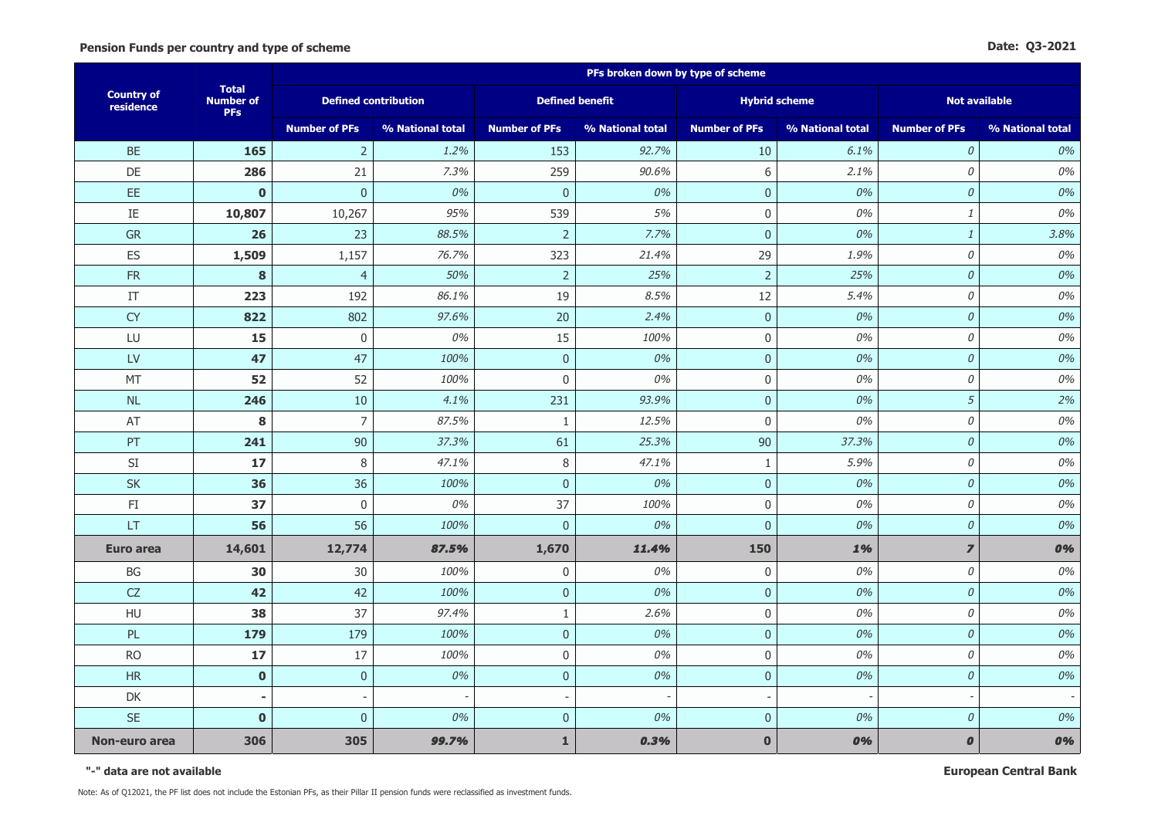|                                |                                                | PFs broken down by type of scheme |                  |                          |                  |                          |                  |                      |                  |  |
|--------------------------------|------------------------------------------------|-----------------------------------|------------------|--------------------------|------------------|--------------------------|------------------|----------------------|------------------|--|
| <b>Country of</b><br>residence | <b>Total</b><br><b>Number of</b><br><b>PFs</b> | <b>Defined contribution</b>       |                  | <b>Defined benefit</b>   |                  | <b>Hybrid scheme</b>     |                  | <b>Not available</b> |                  |  |
|                                |                                                | <b>Number of PFs</b>              | % National total | <b>Number of PFs</b>     | % National total | <b>Number of PFs</b>     | % National total | <b>Number of PFs</b> | % National total |  |
| <b>BE</b>                      | 165                                            | $\overline{2}$                    | 1.2%             | 153                      | 92.7%            | 10                       | 6.1%             | $\mathcal{O}$        | 0%               |  |
| DE                             | 286                                            | 21                                | 7.3%             | 259                      | 90.6%            | $6\,$                    | 2.1%             | $\mathcal O$         | 0%               |  |
| EE                             | $\mathbf 0$                                    | $\mathbf 0$                       | 0%               | $\pmb{0}$                | 0%               | $\pmb{0}$                | 0%               | ${\cal O}$           | 0%               |  |
| IE                             | 10,807                                         | 10,267                            | 95%              | 539                      | 5%               | $\pmb{0}$                | 0%               | $\it 1$              | 0%               |  |
| <b>GR</b>                      | 26                                             | 23                                | 88.5%            | $\overline{2}$           | 7.7%             | $\mathbf 0$              | 0%               | $\mathbf{1}$         | 3.8%             |  |
| ES                             | 1,509                                          | 1,157                             | 76.7%            | 323                      | 21.4%            | 29                       | 1.9%             | 0                    | 0%               |  |
| <b>FR</b>                      | 8                                              | $\overline{4}$                    | 50%              | $\overline{2}$           | 25%              | $\overline{2}$           | 25%              | $\mathcal O$         | 0%               |  |
| IT                             | 223                                            | 192                               | 86.1%            | 19                       | 8.5%             | 12                       | 5.4%             | $\mathcal O$         | 0%               |  |
| <b>CY</b>                      | 822                                            | 802                               | 97.6%            | 20                       | 2.4%             | $\mathbf 0$              | 0%               | $\mathcal{O}$        | 0%               |  |
| LU                             | 15                                             | $\mathbf 0$                       | 0%               | 15                       | 100%             | $\mathbf 0$              | 0%               | $\mathcal O$         | 0%               |  |
| $\mathsf{L}\mathsf{V}$         | 47                                             | 47                                | 100%             | $\mathbf 0$              | 0%               | $\mathbf{0}$             | 0%               | $\mathcal O$         | 0%               |  |
| MT                             | 52                                             | 52                                | 100%             | $\boldsymbol{0}$         | 0%               | $\boldsymbol{0}$         | 0%               | $\mathcal O$         | 0%               |  |
| NL                             | 246                                            | $10\,$                            | 4.1%             | 231                      | 93.9%            | $\pmb{0}$                | 0%               | 5                    | 2%               |  |
| AT                             | 8                                              | $\overline{7}$                    | 87.5%            | $\mathbf{1}$             | 12.5%            | $\mathbf 0$              | 0%               | 0                    | 0%               |  |
| PT                             | 241                                            | 90                                | 37.3%            | 61                       | 25.3%            | 90                       | 37.3%            | $\mathcal O$         | 0%               |  |
| $\mathsf{SI}$                  | 17                                             | 8                                 | 47.1%            | $\,8\,$                  | 47.1%            | $\mathbf{1}$             | 5.9%             | 0                    | 0%               |  |
| <b>SK</b>                      | 36                                             | 36                                | 100%             | $\pmb{0}$                | 0%               | $\pmb{0}$                | 0%               | $\mathcal O$         | 0%               |  |
| $\mathsf{FI}$                  | 37                                             | $\pmb{0}$                         | 0%               | 37                       | 100%             | $\mathbf 0$              | 0%               | $\mathcal O$         | 0%               |  |
| LT                             | 56                                             | 56                                | 100%             | $\boldsymbol{0}$         | 0%               | $\pmb{0}$                | 0%               | $\mathcal O$         | 0%               |  |
| Euro area                      | 14,601                                         | 12,774                            | 87.5%            | 1,670                    | 11.4%            | 150                      | 1%               | $\overline{z}$       | 0%               |  |
| BG                             | 30                                             | 30                                | 100%             | 0                        | 0%               | $\mathbf 0$              | 0%               | $\mathcal O$         | 0%               |  |
| CZ                             | 42                                             | 42                                | 100%             | $\pmb{0}$                | 0%               | $\mathbf{0}$             | 0%               | $\cal O$             | 0%               |  |
| HU                             | 38                                             | 37                                | 97.4%            | $\mathbf{1}$             | 2.6%             | $\mathbf 0$              | 0%               | 0                    | 0%               |  |
| PL                             | 179                                            | 179                               | 100%             | $\pmb{0}$                | 0%               | $\mathbf{0}$             | 0%               | $\mathcal O$         | 0%               |  |
| <b>RO</b>                      | 17                                             | 17                                | 100%             | $\mathbf 0$              | 0%               | $\mathbf 0$              | 0%               | $\mathcal O$         | 0%               |  |
| <b>HR</b>                      | $\bf{0}$                                       | $\mathbf 0$                       | 0%               | $\pmb{0}$                | 0%               | $\mathbf 0$              | 0%               | $\mathcal O$         | 0%               |  |
| DK                             |                                                |                                   |                  | $\overline{\phantom{a}}$ |                  | $\overline{\phantom{a}}$ |                  |                      |                  |  |
| <b>SE</b>                      | $\mathbf 0$                                    | $\overline{0}$                    | 0%               | $\overline{0}$           | 0%               | $\mathbf 0$              | 0%               | $\mathcal O$         | 0%               |  |
| Non-euro area                  | 306                                            | 305                               | 99.7%            | $\mathbf{1}$             | 0.3%             | $\mathbf 0$              | 0%               | $\pmb{o}$            | 0%               |  |

**"-" data are not available**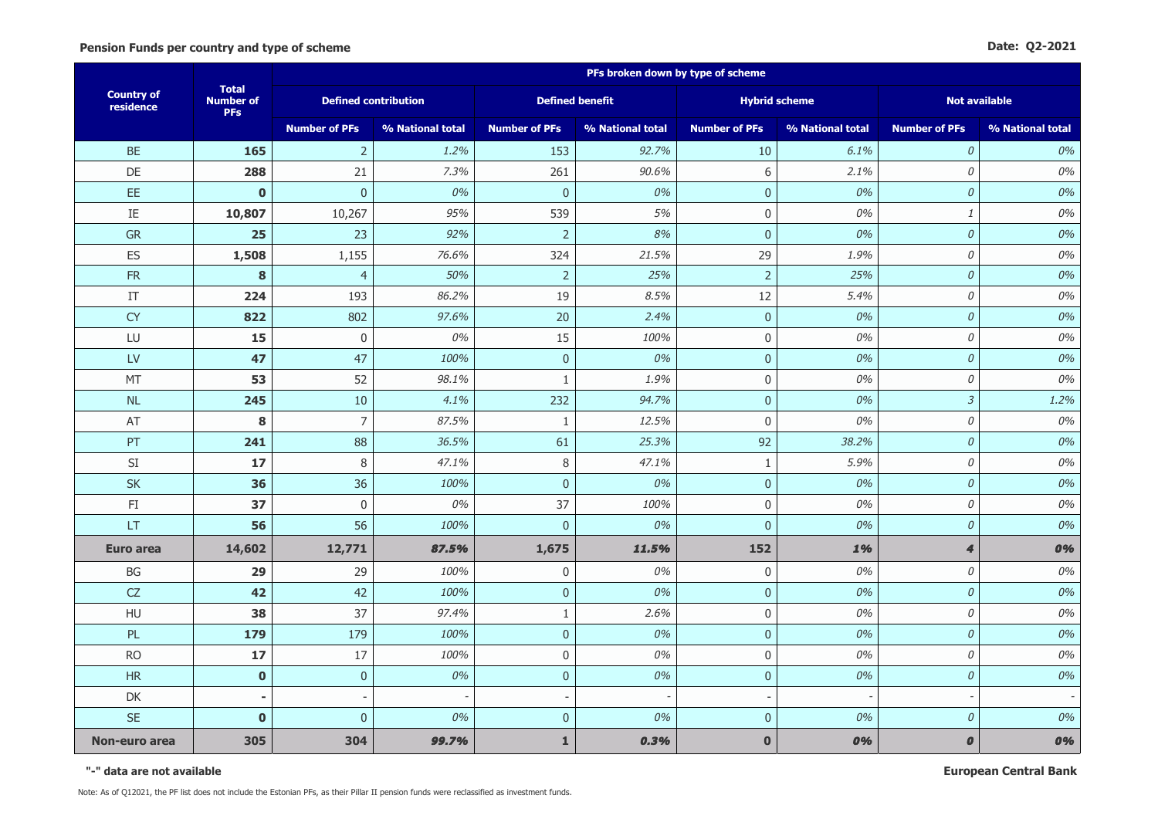|                                |                                                | PFs broken down by type of scheme |                  |                          |                  |                          |                  |                      |                  |  |
|--------------------------------|------------------------------------------------|-----------------------------------|------------------|--------------------------|------------------|--------------------------|------------------|----------------------|------------------|--|
| <b>Country of</b><br>residence | <b>Total</b><br><b>Number of</b><br><b>PFs</b> | <b>Defined contribution</b>       |                  | <b>Defined benefit</b>   |                  | <b>Hybrid scheme</b>     |                  | <b>Not available</b> |                  |  |
|                                |                                                | <b>Number of PFs</b>              | % National total | <b>Number of PFs</b>     | % National total | <b>Number of PFs</b>     | % National total | <b>Number of PFs</b> | % National total |  |
| <b>BE</b>                      | 165                                            | $\overline{2}$                    | 1.2%             | 153                      | 92.7%            | 10                       | 6.1%             | $\mathcal{O}$        | 0%               |  |
| DE                             | 288                                            | 21                                | 7.3%             | 261                      | 90.6%            | $6\,$                    | 2.1%             | $\mathcal O$         | 0%               |  |
| EE                             | $\mathbf 0$                                    | $\bf 0$                           | 0%               | $\pmb{0}$                | 0%               | $\pmb{0}$                | 0%               | $\cal O$             | 0%               |  |
| IE                             | 10,807                                         | 10,267                            | 95%              | 539                      | 5%               | $\pmb{0}$                | 0%               | $\it 1$              | 0%               |  |
| <b>GR</b>                      | 25                                             | 23                                | 92%              | $\overline{2}$           | 8%               | $\mathbf 0$              | 0%               | $\mathcal O$         | 0%               |  |
| ES                             | 1,508                                          | 1,155                             | 76.6%            | 324                      | 21.5%            | 29                       | 1.9%             | 0                    | 0%               |  |
| <b>FR</b>                      | 8                                              | $\overline{4}$                    | 50%              | $\overline{2}$           | 25%              | $\overline{2}$           | 25%              | $\cal O$             | 0%               |  |
| IT                             | 224                                            | 193                               | 86.2%            | 19                       | 8.5%             | 12                       | 5.4%             | $\mathcal O$         | 0%               |  |
| <b>CY</b>                      | 822                                            | 802                               | 97.6%            | 20                       | 2.4%             | $\mathbf 0$              | 0%               | $\mathcal{O}$        | 0%               |  |
| LU                             | 15                                             | $\mathbf 0$                       | 0%               | 15                       | 100%             | $\mathbf 0$              | 0%               | $\mathcal O$         | 0%               |  |
| LV                             | 47                                             | 47                                | 100%             | $\mathbf 0$              | 0%               | $\mathbf{0}$             | 0%               | $\mathcal O$         | 0%               |  |
| MT                             | 53                                             | 52                                | 98.1%            | $\mathbf{1}$             | 1.9%             | $\boldsymbol{0}$         | 0%               | $\mathcal O$         | 0%               |  |
| NL                             | 245                                            | $10\,$                            | 4.1%             | 232                      | 94.7%            | $\pmb{0}$                | 0%               | $\mathfrak{Z}$       | 1.2%             |  |
| AT                             | 8                                              | $\overline{7}$                    | 87.5%            | $\mathbf{1}$             | 12.5%            | $\mathbf 0$              | 0%               | 0                    | 0%               |  |
| PT                             | 241                                            | 88                                | 36.5%            | 61                       | 25.3%            | 92                       | 38.2%            | $\mathcal O$         | 0%               |  |
| $\mathsf{SI}$                  | 17                                             | 8                                 | 47.1%            | $\,8\,$                  | 47.1%            | $\mathbf{1}$             | 5.9%             | 0                    | 0%               |  |
| <b>SK</b>                      | 36                                             | 36                                | 100%             | $\pmb{0}$                | 0%               | $\pmb{0}$                | 0%               | $\mathcal O$         | 0%               |  |
| $\mathsf{FI}$                  | 37                                             | $\boldsymbol{0}$                  | 0%               | 37                       | 100%             | $\mathbf 0$              | 0%               | $\mathcal O$         | 0%               |  |
| LT                             | 56                                             | 56                                | 100%             | $\pmb{0}$                | 0%               | $\pmb{0}$                | 0%               | $\mathcal O$         | 0%               |  |
| Euro area                      | 14,602                                         | 12,771                            | 87.5%            | 1,675                    | 11.5%            | 152                      | 1%               | $\boldsymbol{4}$     | 0%               |  |
| BG                             | 29                                             | 29                                | 100%             | 0                        | 0%               | $\mathbf 0$              | 0%               | $\mathcal O$         | 0%               |  |
| CZ                             | 42                                             | 42                                | 100%             | $\pmb{0}$                | 0%               | $\mathbf 0$              | 0%               | $\mathcal O$         | 0%               |  |
| HU                             | 38                                             | 37                                | 97.4%            | $\mathbf{1}$             | 2.6%             | $\mathbf 0$              | 0%               | 0                    | 0%               |  |
| PL                             | 179                                            | 179                               | 100%             | $\pmb{0}$                | 0%               | $\mathbf{0}$             | 0%               | $\mathcal O$         | 0%               |  |
| <b>RO</b>                      | 17                                             | 17                                | 100%             | $\mathbf 0$              | 0%               | $\mathbf 0$              | 0%               | $\mathcal O$         | 0%               |  |
| <b>HR</b>                      | $\mathbf 0$                                    | $\pmb{0}$                         | 0%               | $\pmb{0}$                | 0%               | $\mathbf 0$              | 0%               | $\mathcal O$         | 0%               |  |
| DK                             |                                                |                                   |                  | $\overline{\phantom{a}}$ |                  | $\overline{\phantom{a}}$ |                  |                      |                  |  |
| <b>SE</b>                      | $\mathbf 0$                                    | $\overline{0}$                    | 0%               | $\overline{0}$           | 0%               | $\mathbf 0$              | 0%               | $\mathcal O$         | 0%               |  |
| Non-euro area                  | 305                                            | 304                               | 99.7%            | $\mathbf{1}$             | 0.3%             | $\mathbf 0$              | 0%               | $\pmb{o}$            | 0%               |  |

**"-" data are not available**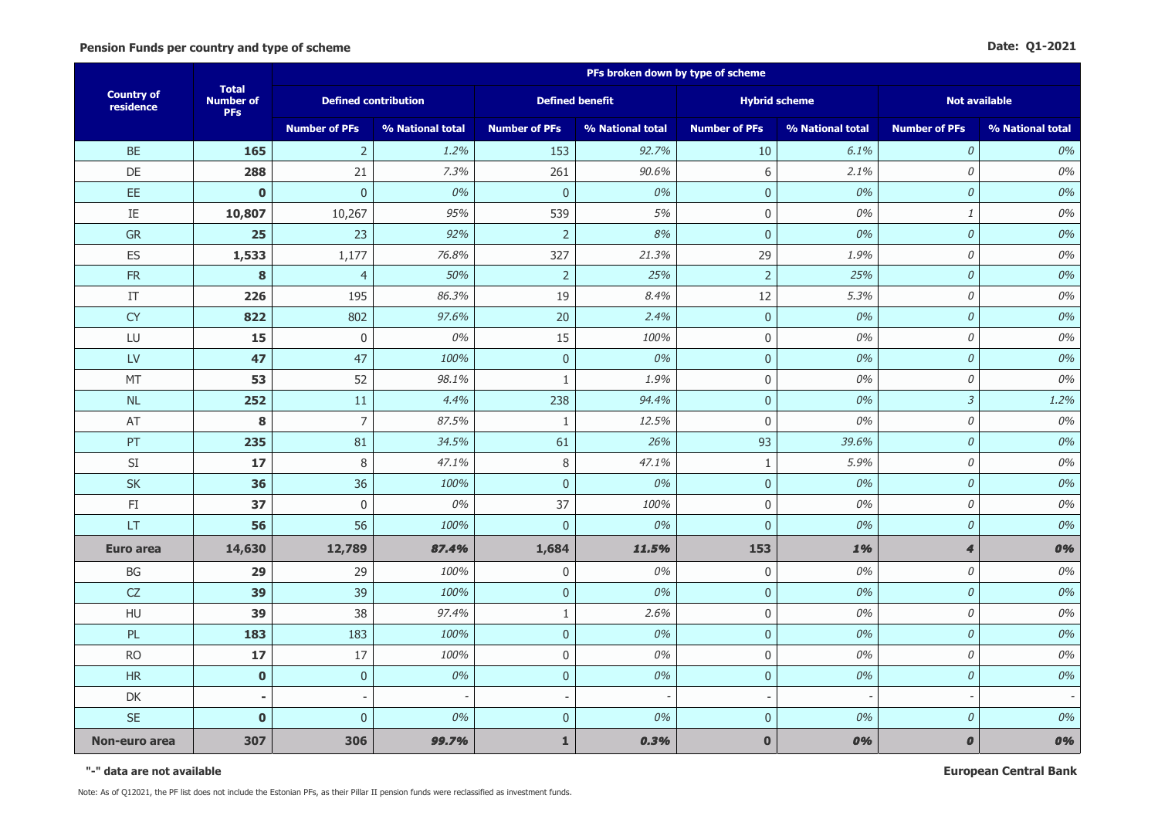|                                |                                                | PFs broken down by type of scheme |                  |                          |                  |                          |                  |                      |                  |  |
|--------------------------------|------------------------------------------------|-----------------------------------|------------------|--------------------------|------------------|--------------------------|------------------|----------------------|------------------|--|
| <b>Country of</b><br>residence | <b>Total</b><br><b>Number of</b><br><b>PFs</b> | <b>Defined contribution</b>       |                  | <b>Defined benefit</b>   |                  | <b>Hybrid scheme</b>     |                  | <b>Not available</b> |                  |  |
|                                |                                                | <b>Number of PFs</b>              | % National total | <b>Number of PFs</b>     | % National total | <b>Number of PFs</b>     | % National total | <b>Number of PFs</b> | % National total |  |
| <b>BE</b>                      | 165                                            | $\overline{2}$                    | 1.2%             | 153                      | 92.7%            | 10                       | 6.1%             | $\mathcal{O}$        | 0%               |  |
| DE                             | 288                                            | 21                                | 7.3%             | 261                      | 90.6%            | $6\,$                    | 2.1%             | $\mathcal O$         | 0%               |  |
| EE                             | $\mathbf 0$                                    | $\mathbf 0$                       | 0%               | $\pmb{0}$                | 0%               | $\pmb{0}$                | 0%               | $\cal O$             | 0%               |  |
| IE                             | 10,807                                         | 10,267                            | 95%              | 539                      | 5%               | $\pmb{0}$                | 0%               | $\it 1$              | 0%               |  |
| <b>GR</b>                      | 25                                             | 23                                | 92%              | $\overline{2}$           | 8%               | $\mathbf 0$              | 0%               | $\mathcal O$         | 0%               |  |
| ES                             | 1,533                                          | 1,177                             | 76.8%            | 327                      | 21.3%            | 29                       | 1.9%             | 0                    | 0%               |  |
| <b>FR</b>                      | 8                                              | $\overline{4}$                    | 50%              | $\overline{2}$           | 25%              | $\overline{2}$           | 25%              | $\cal O$             | 0%               |  |
| IT                             | 226                                            | 195                               | 86.3%            | 19                       | 8.4%             | 12                       | 5.3%             | $\mathcal O$         | 0%               |  |
| <b>CY</b>                      | 822                                            | 802                               | 97.6%            | 20                       | 2.4%             | $\mathbf{0}$             | 0%               | $\mathcal{O}$        | 0%               |  |
| LU                             | 15                                             | $\mathbf 0$                       | 0%               | 15                       | 100%             | $\mathbf 0$              | 0%               | $\mathcal O$         | 0%               |  |
| LV                             | 47                                             | 47                                | 100%             | $\mathbf 0$              | 0%               | $\mathbf{0}$             | 0%               | $\mathcal O$         | 0%               |  |
| MT                             | 53                                             | 52                                | 98.1%            | $\mathbf{1}$             | 1.9%             | 0                        | 0%               | $\mathcal O$         | 0%               |  |
| NL                             | 252                                            | 11                                | 4.4%             | 238                      | 94.4%            | $\pmb{0}$                | 0%               | $\mathfrak{Z}$       | 1.2%             |  |
| AT                             | 8                                              | $\overline{7}$                    | 87.5%            | $\mathbf{1}$             | 12.5%            | $\mathbf 0$              | 0%               | 0                    | 0%               |  |
| PT                             | 235                                            | 81                                | 34.5%            | 61                       | 26%              | 93                       | 39.6%            | $\mathcal O$         | 0%               |  |
| $\mathsf{SI}$                  | 17                                             | 8                                 | 47.1%            | $\,8\,$                  | 47.1%            | $\mathbf{1}$             | 5.9%             | 0                    | 0%               |  |
| <b>SK</b>                      | 36                                             | 36                                | 100%             | $\pmb{0}$                | 0%               | $\pmb{0}$                | 0%               | $\mathcal O$         | 0%               |  |
| $\mathsf{FI}$                  | 37                                             | $\pmb{0}$                         | 0%               | 37                       | 100%             | $\mathbf 0$              | 0%               | $\mathcal O$         | 0%               |  |
| LT                             | 56                                             | 56                                | 100%             | $\boldsymbol{0}$         | 0%               | $\pmb{0}$                | 0%               | $\mathcal O$         | 0%               |  |
| Euro area                      | 14,630                                         | 12,789                            | 87.4%            | 1,684                    | 11.5%            | 153                      | 1%               | $\boldsymbol{4}$     | 0%               |  |
| BG                             | 29                                             | 29                                | 100%             | 0                        | 0%               | $\mathbf 0$              | 0%               | $\mathcal O$         | 0%               |  |
| CZ                             | 39                                             | 39                                | 100%             | $\pmb{0}$                | 0%               | $\mathbf{0}$             | 0%               | $\mathcal O$         | 0%               |  |
| HU                             | 39                                             | 38                                | 97.4%            | $1\,$                    | 2.6%             | $\mathbf 0$              | 0%               | 0                    | 0%               |  |
| PL                             | 183                                            | 183                               | 100%             | $\pmb{0}$                | 0%               | $\mathbf 0$              | 0%               | $\mathcal O$         | 0%               |  |
| <b>RO</b>                      | 17                                             | 17                                | 100%             | $\mathbf 0$              | 0%               | $\mathbf 0$              | 0%               | $\mathcal O$         | 0%               |  |
| <b>HR</b>                      | $\bf{0}$                                       | $\pmb{0}$                         | 0%               | $\pmb{0}$                | 0%               | $\mathbf 0$              | 0%               | $\mathcal O$         | 0%               |  |
| DK                             |                                                |                                   |                  | $\overline{\phantom{a}}$ |                  | $\overline{\phantom{a}}$ |                  |                      |                  |  |
| <b>SE</b>                      | $\mathbf 0$                                    | $\overline{0}$                    | 0%               | $\overline{0}$           | 0%               | $\mathbf 0$              | 0%               | $\mathcal O$         | 0%               |  |
| Non-euro area                  | 307                                            | 306                               | 99.7%            | $\mathbf{1}$             | 0.3%             | $\mathbf 0$              | 0%               | $\pmb{o}$            | 0%               |  |

**"-" data are not available**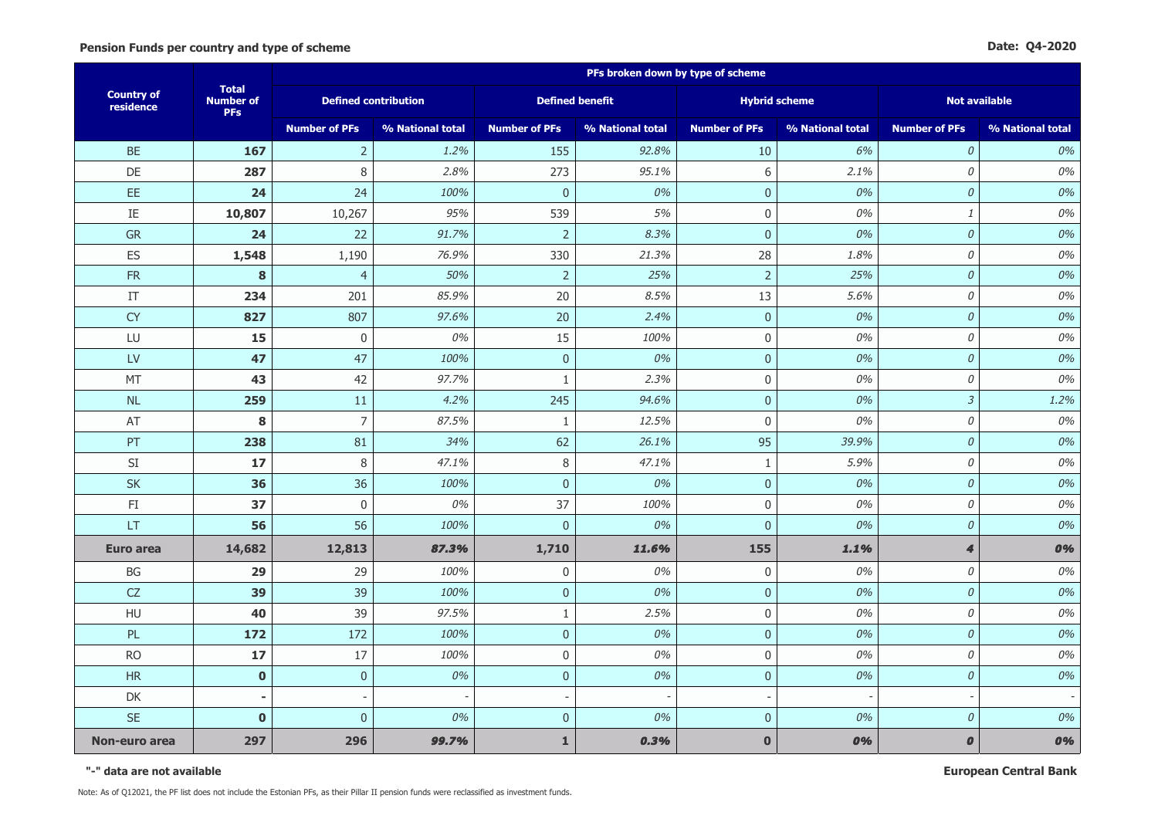|                                |                                                | PFs broken down by type of scheme |                  |                          |                  |                          |                  |                      |                  |  |
|--------------------------------|------------------------------------------------|-----------------------------------|------------------|--------------------------|------------------|--------------------------|------------------|----------------------|------------------|--|
| <b>Country of</b><br>residence | <b>Total</b><br><b>Number of</b><br><b>PFs</b> | <b>Defined contribution</b>       |                  | <b>Defined benefit</b>   |                  | <b>Hybrid scheme</b>     |                  | <b>Not available</b> |                  |  |
|                                |                                                | <b>Number of PFs</b>              | % National total | <b>Number of PFs</b>     | % National total | <b>Number of PFs</b>     | % National total | <b>Number of PFs</b> | % National total |  |
| <b>BE</b>                      | 167                                            | $\overline{2}$                    | 1.2%             | 155                      | 92.8%            | 10                       | 6%               | $\mathcal{O}$        | 0%               |  |
| DE                             | 287                                            | 8                                 | 2.8%             | 273                      | 95.1%            | $6\,$                    | 2.1%             | $\mathcal O$         | 0%               |  |
| EE                             | 24                                             | 24                                | 100%             | $\pmb{0}$                | 0%               | $\pmb{0}$                | 0%               | $\cal O$             | 0%               |  |
| IE                             | 10,807                                         | 10,267                            | 95%              | 539                      | 5%               | $\pmb{0}$                | 0%               | $\it 1$              | 0%               |  |
| <b>GR</b>                      | 24                                             | 22                                | 91.7%            | $\overline{2}$           | 8.3%             | $\mathbf 0$              | 0%               | $\mathcal O$         | 0%               |  |
| ES                             | 1,548                                          | 1,190                             | 76.9%            | 330                      | 21.3%            | 28                       | 1.8%             | 0                    | 0%               |  |
| <b>FR</b>                      | 8                                              | $\overline{4}$                    | 50%              | $\overline{2}$           | 25%              | $\overline{2}$           | 25%              | $\mathcal O$         | 0%               |  |
| IT                             | 234                                            | 201                               | 85.9%            | 20                       | 8.5%             | 13                       | 5.6%             | $\mathcal O$         | 0%               |  |
| <b>CY</b>                      | 827                                            | 807                               | 97.6%            | 20                       | 2.4%             | $\mathbf 0$              | 0%               | $\mathcal{O}$        | 0%               |  |
| LU                             | 15                                             | $\mathbf 0$                       | 0%               | 15                       | 100%             | $\mathbf 0$              | 0%               | $\mathcal O$         | 0%               |  |
| LV                             | 47                                             | 47                                | 100%             | $\mathbf 0$              | 0%               | $\mathbf{0}$             | 0%               | $\mathcal O$         | 0%               |  |
| MT                             | 43                                             | 42                                | 97.7%            | $\mathbf{1}$             | 2.3%             | $\boldsymbol{0}$         | 0%               | $\mathcal O$         | 0%               |  |
| NL                             | 259                                            | 11                                | 4.2%             | 245                      | 94.6%            | $\pmb{0}$                | 0%               | $\mathfrak{Z}$       | 1.2%             |  |
| AT                             | 8                                              | $\overline{7}$                    | 87.5%            | $\mathbf{1}$             | 12.5%            | $\mathbf 0$              | 0%               | 0                    | 0%               |  |
| PT                             | 238                                            | 81                                | 34%              | 62                       | 26.1%            | 95                       | 39.9%            | $\mathcal O$         | 0%               |  |
| $\mathsf{SI}$                  | 17                                             | 8                                 | 47.1%            | $\,8\,$                  | 47.1%            | $\mathbf{1}$             | 5.9%             | 0                    | 0%               |  |
| <b>SK</b>                      | 36                                             | 36                                | 100%             | $\pmb{0}$                | 0%               | $\pmb{0}$                | 0%               | $\mathcal O$         | 0%               |  |
| $\mathsf{FI}$                  | 37                                             | $\pmb{0}$                         | 0%               | 37                       | 100%             | $\mathbf 0$              | 0%               | $\mathcal O$         | 0%               |  |
| LT                             | 56                                             | 56                                | 100%             | $\pmb{0}$                | 0%               | $\pmb{0}$                | 0%               | $\mathcal O$         | 0%               |  |
| Euro area                      | 14,682                                         | 12,813                            | 87.3%            | 1,710                    | 11.6%            | 155                      | 1.1%             | $\boldsymbol{4}$     | 0%               |  |
| BG                             | 29                                             | 29                                | 100%             | 0                        | 0%               | $\mathbf 0$              | 0%               | $\mathcal O$         | 0%               |  |
| CZ                             | 39                                             | 39                                | 100%             | $\pmb{0}$                | 0%               | $\pmb{0}$                | 0%               | $\mathcal O$         | 0%               |  |
| HU                             | 40                                             | 39                                | 97.5%            | $\mathbf{1}$             | 2.5%             | $\mathbf 0$              | 0%               | 0                    | 0%               |  |
| PL                             | 172                                            | 172                               | 100%             | $\pmb{0}$                | 0%               | $\mathbf{0}$             | 0%               | $\mathcal O$         | 0%               |  |
| <b>RO</b>                      | 17                                             | 17                                | 100%             | $\mathbf 0$              | 0%               | $\mathbf 0$              | 0%               | $\mathcal O$         | 0%               |  |
| <b>HR</b>                      | $\bf{0}$                                       | $\pmb{0}$                         | 0%               | $\pmb{0}$                | 0%               | $\mathbf 0$              | 0%               | $\mathcal O$         | 0%               |  |
| DK                             |                                                |                                   |                  | $\overline{\phantom{a}}$ |                  | $\overline{\phantom{a}}$ |                  |                      |                  |  |
| <b>SE</b>                      | $\mathbf 0$                                    | $\overline{0}$                    | 0%               | $\overline{0}$           | 0%               | $\mathbf 0$              | 0%               | $\mathcal O$         | 0%               |  |
| Non-euro area                  | 297                                            | 296                               | 99.7%            | $\mathbf{1}$             | 0.3%             | $\mathbf 0$              | 0%               | $\pmb{o}$            | 0%               |  |

**"-" data are not available**